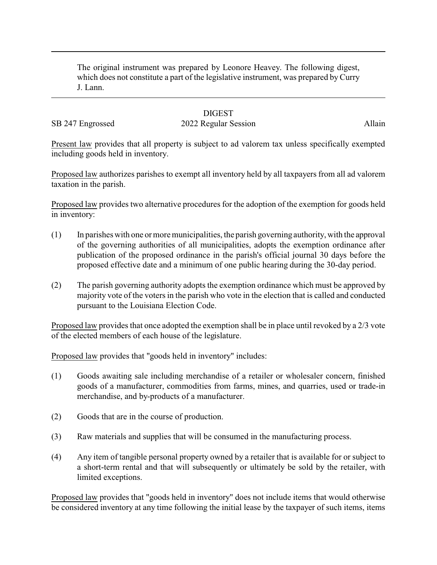The original instrument was prepared by Leonore Heavey. The following digest, which does not constitute a part of the legislative instrument, was prepared by Curry J. Lann.

## **DIGEST**

## SB 247 Engrossed 2022 Regular Session Allain

Present law provides that all property is subject to ad valorem tax unless specifically exempted including goods held in inventory.

Proposed law authorizes parishes to exempt all inventory held by all taxpayers from all ad valorem taxation in the parish.

Proposed law provides two alternative procedures for the adoption of the exemption for goods held in inventory:

- (1) In parishes with one ormore municipalities, the parish governing authority, with the approval of the governing authorities of all municipalities, adopts the exemption ordinance after publication of the proposed ordinance in the parish's official journal 30 days before the proposed effective date and a minimum of one public hearing during the 30-day period.
- (2) The parish governing authority adopts the exemption ordinance which must be approved by majority vote of the voters in the parish who vote in the election that is called and conducted pursuant to the Louisiana Election Code.

Proposed law provides that once adopted the exemption shall be in place until revoked by a 2/3 vote of the elected members of each house of the legislature.

Proposed law provides that "goods held in inventory" includes:

- (1) Goods awaiting sale including merchandise of a retailer or wholesaler concern, finished goods of a manufacturer, commodities from farms, mines, and quarries, used or trade-in merchandise, and by-products of a manufacturer.
- (2) Goods that are in the course of production.
- (3) Raw materials and supplies that will be consumed in the manufacturing process.
- (4) Any item of tangible personal property owned by a retailer that is available for or subject to a short-term rental and that will subsequently or ultimately be sold by the retailer, with limited exceptions.

Proposed law provides that "goods held in inventory" does not include items that would otherwise be considered inventory at any time following the initial lease by the taxpayer of such items, items